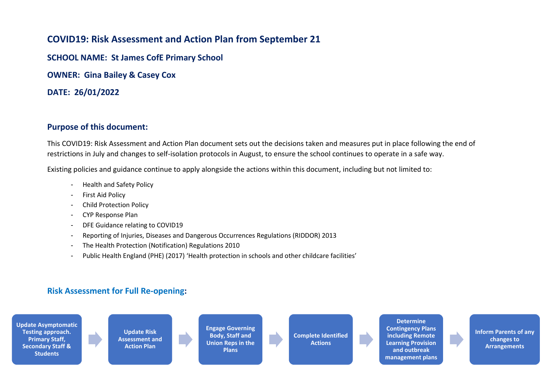## **COVID19: Risk Assessment and Action Plan from September 21**

**SCHOOL NAME: St James CofE Primary School**

**OWNER: Gina Bailey & Casey Cox**

**DATE: 26/01/2022**

## **Purpose of this document:**

This COVID19: Risk Assessment and Action Plan document sets out the decisions taken and measures put in place following the end of restrictions in July and changes to self-isolation protocols in August, to ensure the school continues to operate in a safe way.

Existing policies and guidance continue to apply alongside the actions within this document, including but not limited to:

- Health and Safety Policy
- First Aid Policy
- Child Protection Policy
- CYP Response Plan
- DFE Guidance relating to COVID19
- Reporting of Injuries, Diseases and Dangerous Occurrences Regulations (RIDDOR) 2013
- The Health Protection (Notification) Regulations 2010
- Public Health England (PHE) (2017) 'Health protection in schools and other childcare facilities'

## **Risk Assessment for Full Re-opening:**



**Contingency Plans including Remote Learning Provision and outbreak management plans**

**Inform Parents of any changes to Arrangements**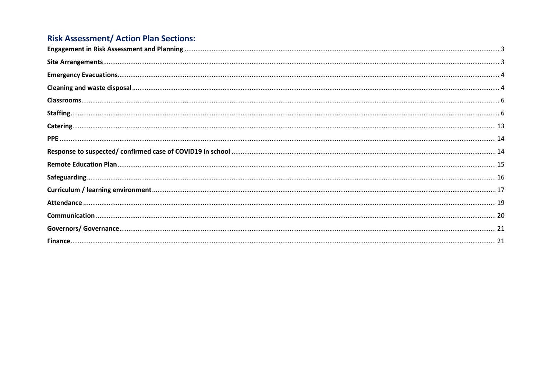## **Risk Assessment/ Action Plan Sections:**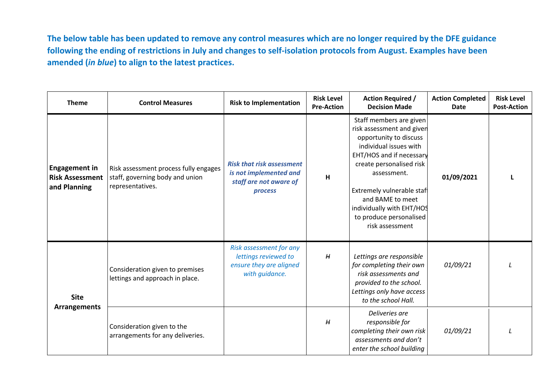**The below table has been updated to remove any control measures which are no longer required by the DFE guidance following the ending of restrictions in July and changes to self-isolation protocols from August. Examples have been amended (***in blue***) to align to the latest practices.**

<span id="page-2-1"></span><span id="page-2-0"></span>

| <b>Theme</b>                                                   | <b>Control Measures</b>                                                                      | <b>Risk to Implementation</b>                                                                   | <b>Risk Level</b><br><b>Pre-Action</b> | <b>Action Required /</b><br><b>Decision Made</b>                                                                                                                                                                                                                                                            | <b>Action Completed</b><br><b>Date</b> | <b>Risk Level</b><br><b>Post-Action</b> |
|----------------------------------------------------------------|----------------------------------------------------------------------------------------------|-------------------------------------------------------------------------------------------------|----------------------------------------|-------------------------------------------------------------------------------------------------------------------------------------------------------------------------------------------------------------------------------------------------------------------------------------------------------------|----------------------------------------|-----------------------------------------|
| <b>Engagement in</b><br><b>Risk Assessment</b><br>and Planning | Risk assessment process fully engages<br>staff, governing body and union<br>representatives. | <b>Risk that risk assessment</b><br>is not implemented and<br>staff are not aware of<br>process | $\mathsf{H}$                           | Staff members are given<br>risk assessment and given<br>opportunity to discuss<br>individual issues with<br>EHT/HOS and if necessary<br>create personalised risk<br>assessment.<br>Extremely vulnerable staf<br>and BAME to meet<br>individually with EHT/HOS<br>to produce personalised<br>risk assessment | 01/09/2021                             | L                                       |
| <b>Site</b><br><b>Arrangements</b>                             | Consideration given to premises<br>lettings and approach in place.                           | Risk assessment for any<br>lettings reviewed to<br>ensure they are aligned<br>with guidance.    | H                                      | Lettings are responsible<br>for completing their own<br>risk assessments and<br>provided to the school.<br>Lettings only have access<br>to the school Hall.                                                                                                                                                 | 01/09/21                               |                                         |
|                                                                | Consideration given to the<br>arrangements for any deliveries.                               |                                                                                                 | H                                      | Deliveries are<br>responsible for<br>completing their own risk<br>assessments and don't<br>enter the school building                                                                                                                                                                                        | 01/09/21                               |                                         |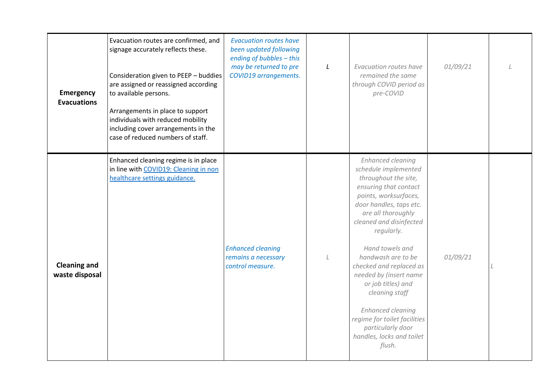<span id="page-3-1"></span><span id="page-3-0"></span>

| <b>Emergency</b><br><b>Evacuations</b> | Evacuation routes are confirmed, and<br>signage accurately reflects these.<br>Consideration given to PEEP - buddies<br>are assigned or reassigned according<br>to available persons.<br>Arrangements in place to support<br>individuals with reduced mobility<br>including cover arrangements in the<br>case of reduced numbers of staff. | <b>Evacuation routes have</b><br>been updated following<br>ending of bubbles - this<br>may be returned to pre<br>COVID19 arrangements. | L | Evacuation routes have<br>remained the same<br>through COVID period as<br>pre-COVID                                                                                                                                                                                                                                                                                                                                                                                                | 01/09/21 |  |
|----------------------------------------|-------------------------------------------------------------------------------------------------------------------------------------------------------------------------------------------------------------------------------------------------------------------------------------------------------------------------------------------|----------------------------------------------------------------------------------------------------------------------------------------|---|------------------------------------------------------------------------------------------------------------------------------------------------------------------------------------------------------------------------------------------------------------------------------------------------------------------------------------------------------------------------------------------------------------------------------------------------------------------------------------|----------|--|
| <b>Cleaning and</b><br>waste disposal  | Enhanced cleaning regime is in place<br>in line with COVID19: Cleaning in non<br>healthcare settings guidance.                                                                                                                                                                                                                            | <b>Enhanced cleaning</b><br>remains a necessary<br>control measure.                                                                    |   | <b>Enhanced cleaning</b><br>schedule implemented<br>throughout the site,<br>ensuring that contact<br>points, worksurfaces,<br>door handles, taps etc.<br>are all thoroughly<br>cleaned and disinfected<br>regularly.<br>Hand towels and<br>handwash are to be<br>checked and replaced as<br>needed by (insert name<br>or job titles) and<br>cleaning staff<br><b>Enhanced cleaning</b><br>regime for toilet facilities<br>particularly door<br>handles, locks and toilet<br>flush. | 01/09/21 |  |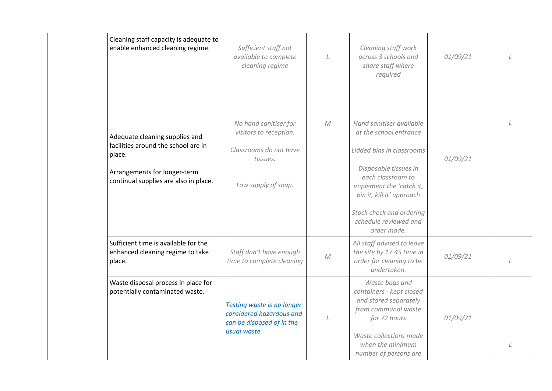| Cleaning staff capacity is adequate to<br>enable enhanced cleaning regime.                                                                               | Sufficient staff not<br>available to complete<br>cleaning regime                                             | L          | Cleaning staff work<br>across 3 schools and<br>share staff where<br>required                                                                                                                                                                               | 01/09/21 |  |
|----------------------------------------------------------------------------------------------------------------------------------------------------------|--------------------------------------------------------------------------------------------------------------|------------|------------------------------------------------------------------------------------------------------------------------------------------------------------------------------------------------------------------------------------------------------------|----------|--|
| Adequate cleaning supplies and<br>facilities around the school are in<br>place.<br>Arrangements for longer-term<br>continual supplies are also in place. | No hand sanitiser for<br>visitors to reception.<br>Classrooms do not have<br>tissues.<br>Low supply of soap. | M          | Hand sanitiser available<br>at the school entrance<br>Lidded bins in classrooms<br>Disposable tissues in<br>each classroom to<br>implement the 'catch it,<br>bin it, kill it' approach<br>Stock check and ordering<br>schedule reviewed and<br>order made. | 01/09/21 |  |
| Sufficient time is available for the<br>enhanced cleaning regime to take<br>place.                                                                       | Staff don't have enough<br>time to complete cleaning                                                         | ${\cal M}$ | All staff advised to leave<br>the site by 17.45 time in<br>order for cleaning to be<br>undertaken.                                                                                                                                                         | 01/09/21 |  |
| Waste disposal process in place for<br>potentially contaminated waste.                                                                                   | Testing waste is no longer<br>considered hazardous and<br>can be disposed of in the<br>usual waste.          |            | Waste bags and<br>containers - kept closed<br>and stored separately<br>from communal waste<br>for 72 hours<br>Waste collections made<br>when the minimum<br>number of persons are                                                                          | 01/09/21 |  |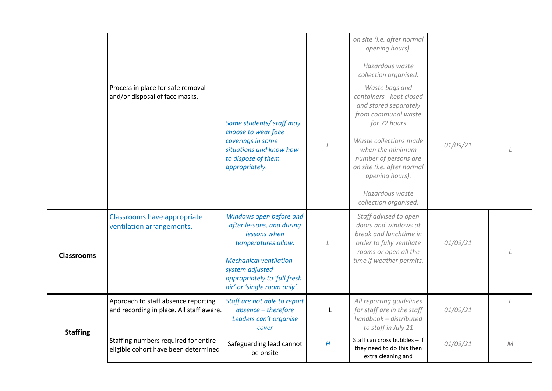<span id="page-5-1"></span><span id="page-5-0"></span>

|                   |                                                                                 |                                                                                                                                                                                                                |   | on site (i.e. after normal<br>opening hours).<br>Hazardous waste<br>collection organised.                                                                                                                                                                                      |          |              |
|-------------------|---------------------------------------------------------------------------------|----------------------------------------------------------------------------------------------------------------------------------------------------------------------------------------------------------------|---|--------------------------------------------------------------------------------------------------------------------------------------------------------------------------------------------------------------------------------------------------------------------------------|----------|--------------|
|                   | Process in place for safe removal<br>and/or disposal of face masks.             | Some students/ staff may<br>choose to wear face<br>coverings in some<br>situations and know how<br>to dispose of them<br>appropriately.                                                                        |   | Waste bags and<br>containers - kept closed<br>and stored separately<br>from communal waste<br>for 72 hours<br>Waste collections made<br>when the minimum<br>number of persons are<br>on site (i.e. after normal<br>opening hours).<br>Hazardous waste<br>collection organised. | 01/09/21 |              |
| <b>Classrooms</b> | Classrooms have appropriate<br>ventilation arrangements.                        | Windows open before and<br>after lessons, and during<br>lessons when<br>temperatures allow.<br><b>Mechanical ventilation</b><br>system adjusted<br>appropriately to 'full fresh<br>air' or 'single room only'. | L | Staff advised to open<br>doors and windows at<br>break and lunchtime in<br>order to fully ventilate<br>rooms or open all the<br>time if weather permits.                                                                                                                       | 01/09/21 |              |
| <b>Staffing</b>   | Approach to staff absence reporting<br>and recording in place. All staff aware. | Staff are not able to report<br>absence - therefore<br>Leaders can't organise<br>cover                                                                                                                         | L | All reporting guidelines<br>for staff are in the staff<br>handbook - distributed<br>to staff in July 21                                                                                                                                                                        | 01/09/21 |              |
|                   | Staffing numbers required for entire<br>eligible cohort have been determined    | Safeguarding lead cannot<br>be onsite                                                                                                                                                                          | H | Staff can cross bubbles - if<br>they need to do this then<br>extra cleaning and                                                                                                                                                                                                | 01/09/21 | $\mathcal M$ |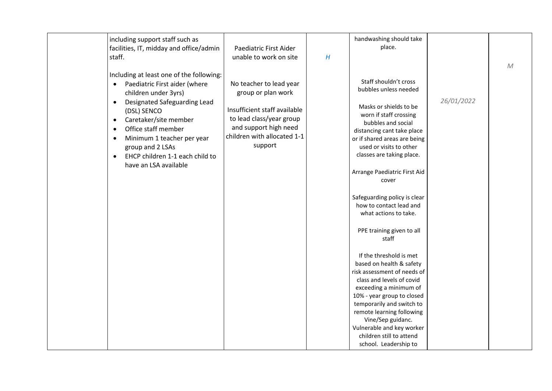| including support staff such as              |                              |   | handwashing should take      |            |             |
|----------------------------------------------|------------------------------|---|------------------------------|------------|-------------|
| facilities, IT, midday and office/admin      | Paediatric First Aider       |   | place.                       |            |             |
| staff.                                       | unable to work on site       | H |                              |            |             |
|                                              |                              |   |                              |            | $M_{\odot}$ |
| Including at least one of the following:     |                              |   |                              |            |             |
| Paediatric First aider (where<br>$\bullet$   | No teacher to lead year      |   | Staff shouldn't cross        |            |             |
|                                              |                              |   | bubbles unless needed        |            |             |
| children under 3yrs)                         | group or plan work           |   |                              |            |             |
| Designated Safeguarding Lead<br>$\bullet$    |                              |   | Masks or shields to be       | 26/01/2022 |             |
| (DSL) SENCO                                  | Insufficient staff available |   | worn if staff crossing       |            |             |
| Caretaker/site member<br>$\bullet$           | to lead class/year group     |   | bubbles and social           |            |             |
| Office staff member<br>$\bullet$             | and support high need        |   | distancing cant take place   |            |             |
| Minimum 1 teacher per year<br>$\bullet$      | children with allocated 1-1  |   | or if shared areas are being |            |             |
| group and 2 LSAs                             | support                      |   | used or visits to other      |            |             |
| EHCP children 1-1 each child to<br>$\bullet$ |                              |   | classes are taking place.    |            |             |
| have an LSA available                        |                              |   |                              |            |             |
|                                              |                              |   | Arrange Paediatric First Aid |            |             |
|                                              |                              |   | cover                        |            |             |
|                                              |                              |   |                              |            |             |
|                                              |                              |   | Safeguarding policy is clear |            |             |
|                                              |                              |   | how to contact lead and      |            |             |
|                                              |                              |   | what actions to take.        |            |             |
|                                              |                              |   |                              |            |             |
|                                              |                              |   | PPE training given to all    |            |             |
|                                              |                              |   | staff                        |            |             |
|                                              |                              |   |                              |            |             |
|                                              |                              |   | If the threshold is met      |            |             |
|                                              |                              |   | based on health & safety     |            |             |
|                                              |                              |   | risk assessment of needs of  |            |             |
|                                              |                              |   | class and levels of covid    |            |             |
|                                              |                              |   | exceeding a minimum of       |            |             |
|                                              |                              |   | 10% - year group to closed   |            |             |
|                                              |                              |   | temporarily and switch to    |            |             |
|                                              |                              |   | remote learning following    |            |             |
|                                              |                              |   | Vine/Sep guidanc.            |            |             |
|                                              |                              |   | Vulnerable and key worker    |            |             |
|                                              |                              |   | children still to attend     |            |             |
|                                              |                              |   | school. Leadership to        |            |             |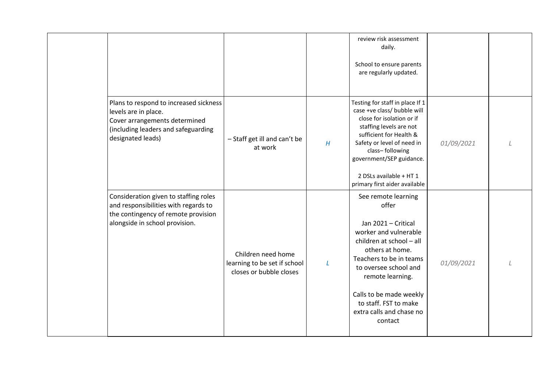|                                                                                                                                                             |                                                                               |   | review risk assessment<br>daily.<br>School to ensure parents<br>are regularly updated.                                                                                                                                                                                                         |            |  |
|-------------------------------------------------------------------------------------------------------------------------------------------------------------|-------------------------------------------------------------------------------|---|------------------------------------------------------------------------------------------------------------------------------------------------------------------------------------------------------------------------------------------------------------------------------------------------|------------|--|
| Plans to respond to increased sickness<br>levels are in place.<br>Cover arrangements determined<br>(including leaders and safeguarding<br>designated leads) | - Staff get ill and can't be<br>at work                                       | H | Testing for staff in place If 1<br>case +ve class/ bubble will<br>close for isolation or if<br>staffing levels are not<br>sufficient for Health &<br>Safety or level of need in<br>class-following<br>government/SEP guidance.<br>2 DSLs available + HT 1<br>primary first aider available     | 01/09/2021 |  |
| Consideration given to staffing roles<br>and responsibilities with regards to<br>the contingency of remote provision<br>alongside in school provision.      | Children need home<br>learning to be set if school<br>closes or bubble closes | L | See remote learning<br>offer<br>Jan 2021 - Critical<br>worker and vulnerable<br>children at school - all<br>others at home.<br>Teachers to be in teams<br>to oversee school and<br>remote learning.<br>Calls to be made weekly<br>to staff. FST to make<br>extra calls and chase no<br>contact | 01/09/2021 |  |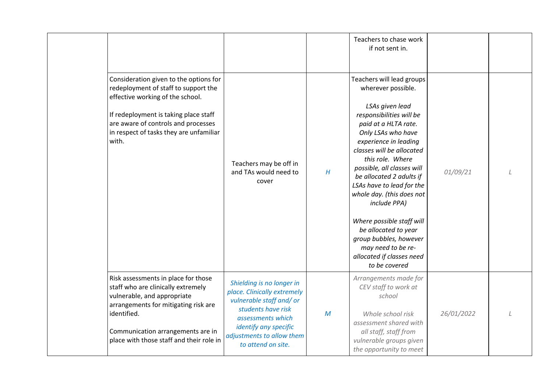|                                                                                                                                                                                                                                                        |                                                                                                                                                                                                            |              | Teachers to chase work<br>if not sent in.                                                                                                                                                                                                                                                                                                                                                                                                                                                                     |            |  |
|--------------------------------------------------------------------------------------------------------------------------------------------------------------------------------------------------------------------------------------------------------|------------------------------------------------------------------------------------------------------------------------------------------------------------------------------------------------------------|--------------|---------------------------------------------------------------------------------------------------------------------------------------------------------------------------------------------------------------------------------------------------------------------------------------------------------------------------------------------------------------------------------------------------------------------------------------------------------------------------------------------------------------|------------|--|
| Consideration given to the options for<br>redeployment of staff to support the<br>effective working of the school.<br>If redeployment is taking place staff<br>are aware of controls and processes<br>in respect of tasks they are unfamiliar<br>with. | Teachers may be off in<br>and TAs would need to<br>cover                                                                                                                                                   | H            | Teachers will lead groups<br>wherever possible.<br>LSAs given lead<br>responsibilities will be<br>paid at a HLTA rate.<br>Only LSAs who have<br>experience in leading<br>classes will be allocated<br>this role. Where<br>possible, all classes will<br>be allocated 2 adults if<br>LSAs have to lead for the<br>whole day. (this does not<br>include PPA)<br>Where possible staff will<br>be allocated to year<br>group bubbles, however<br>may need to be re-<br>allocated if classes need<br>to be covered | 01/09/21   |  |
| Risk assessments in place for those<br>staff who are clinically extremely<br>vulnerable, and appropriate<br>arrangements for mitigating risk are<br>identified.<br>Communication arrangements are in<br>place with those staff and their role in       | Shielding is no longer in<br>place. Clinically extremely<br>vulnerable staff and/or<br>students have risk<br>assessments which<br>identify any specific<br>adjustments to allow them<br>to attend on site. | $\mathcal M$ | Arrangements made for<br>CEV staff to work at<br>school<br>Whole school risk<br>assessment shared with<br>all staff, staff from<br>vulnerable groups given<br>the opportunity to meet                                                                                                                                                                                                                                                                                                                         | 26/01/2022 |  |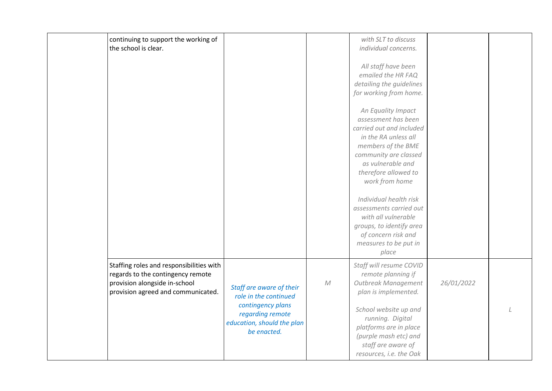| continuing to support the working of<br>the school is clear.                                                                                         |                                                                                                                                         |            | with SLT to discuss<br>individual concerns.<br>All staff have been<br>emailed the HR FAQ<br>detailing the guidelines<br>for working from home.<br>An Equality Impact<br>assessment has been<br>carried out and included<br>in the RA unless all<br>members of the BME<br>community are classed<br>as vulnerable and<br>therefore allowed to<br>work from home<br>Individual health risk<br>assessments carried out<br>with all vulnerable<br>groups, to identify area<br>of concern risk and<br>measures to be put in |            |  |
|------------------------------------------------------------------------------------------------------------------------------------------------------|-----------------------------------------------------------------------------------------------------------------------------------------|------------|-----------------------------------------------------------------------------------------------------------------------------------------------------------------------------------------------------------------------------------------------------------------------------------------------------------------------------------------------------------------------------------------------------------------------------------------------------------------------------------------------------------------------|------------|--|
| Staffing roles and responsibilities with<br>regards to the contingency remote<br>provision alongside in-school<br>provision agreed and communicated. | Staff are aware of their<br>role in the continued<br>contingency plans<br>regarding remote<br>education, should the plan<br>be enacted. | ${\cal M}$ | place<br>Staff will resume COVID<br>remote planning if<br>Outbreak Management<br>plan is implemented.<br>School website up and<br>running. Digital<br>platforms are in place<br>(purple mash etc) and<br>staff are aware of<br>resources, i.e. the Oak                                                                                                                                                                                                                                                                | 26/01/2022 |  |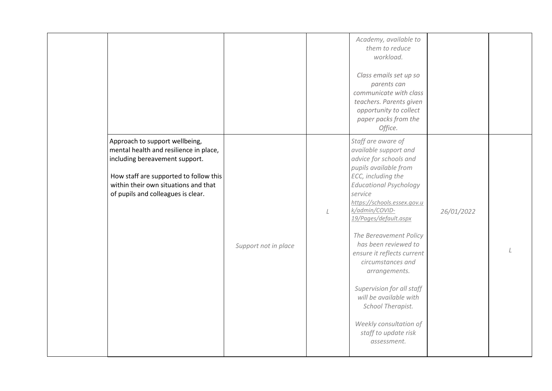|                                                                                                                                                                                                                                    |                      |         | Academy, available to<br>them to reduce<br>workload.<br>Class emails set up so<br>parents can<br>communicate with class<br>teachers. Parents given<br>opportunity to collect<br>paper packs from the<br>Office.                                                                                                                                                                                                                                                                                               |            |  |
|------------------------------------------------------------------------------------------------------------------------------------------------------------------------------------------------------------------------------------|----------------------|---------|---------------------------------------------------------------------------------------------------------------------------------------------------------------------------------------------------------------------------------------------------------------------------------------------------------------------------------------------------------------------------------------------------------------------------------------------------------------------------------------------------------------|------------|--|
| Approach to support wellbeing,<br>mental health and resilience in place,<br>including bereavement support.<br>How staff are supported to follow this<br>within their own situations and that<br>of pupils and colleagues is clear. | Support not in place | $\perp$ | Staff are aware of<br>available support and<br>advice for schools and<br>pupils available from<br>ECC, including the<br><b>Educational Psychology</b><br>service<br>https://schools.essex.gov.u<br>k/admin/COVID-<br>19/Pages/default.aspx<br>The Bereavement Policy<br>has been reviewed to<br>ensure it reflects current<br>circumstances and<br>arrangements.<br>Supervision for all staff<br>will be available with<br>School Therapist.<br>Weekly consultation of<br>staff to update risk<br>assessment. | 26/01/2022 |  |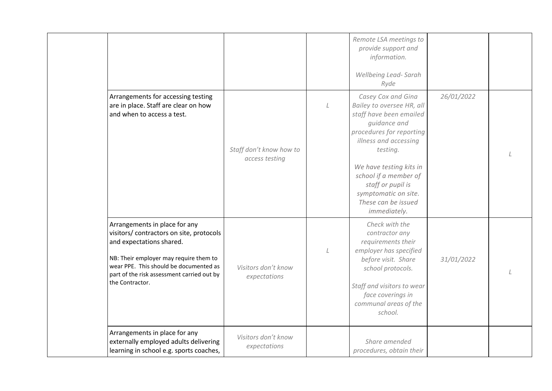|                                                                                                                                                                                                                                                            |                                           |         | Remote LSA meetings to<br>provide support and<br>information.<br>Wellbeing Lead-Sarah<br>Ryde                                                                                                                                                                                                       |            |  |
|------------------------------------------------------------------------------------------------------------------------------------------------------------------------------------------------------------------------------------------------------------|-------------------------------------------|---------|-----------------------------------------------------------------------------------------------------------------------------------------------------------------------------------------------------------------------------------------------------------------------------------------------------|------------|--|
| Arrangements for accessing testing<br>are in place. Staff are clear on how<br>and when to access a test.                                                                                                                                                   | Staff don't know how to<br>access testing | $\perp$ | Casey Cox and Gina<br>Bailey to oversee HR, all<br>staff have been emailed<br>guidance and<br>procedures for reporting<br>illness and accessing<br>testing.<br>We have testing kits in<br>school if a member of<br>staff or pupil is<br>symptomatic on site.<br>These can be issued<br>immediately. | 26/01/2022 |  |
| Arrangements in place for any<br>visitors/ contractors on site, protocols<br>and expectations shared.<br>NB: Their employer may require them to<br>wear PPE. This should be documented as<br>part of the risk assessment carried out by<br>the Contractor. | Visitors don't know<br>expectations       |         | Check with the<br>contractor any<br>requirements their<br>employer has specified<br>before visit. Share<br>school protocols.<br>Staff and visitors to wear<br>face coverings in<br>communal areas of the<br>school.                                                                                 | 31/01/2022 |  |
| Arrangements in place for any<br>externally employed adults delivering<br>learning in school e.g. sports coaches,                                                                                                                                          | Visitors don't know<br>expectations       |         | Share amended<br>procedures, obtain their                                                                                                                                                                                                                                                           |            |  |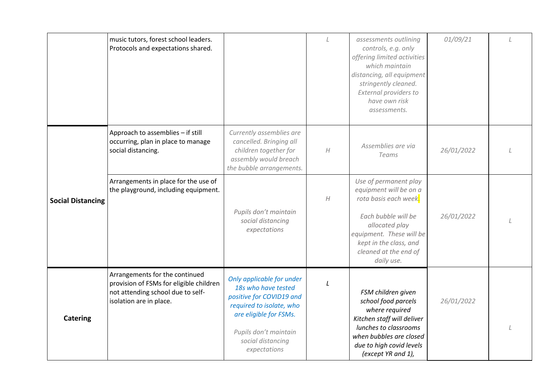<span id="page-12-0"></span>

|                          | music tutors, forest school leaders.<br>Protocols and expectations shared.                                                                |                                                                                                                                                                                                  | L                | assessments outlining<br>controls, e.g. only<br>offering limited activities<br>which maintain<br>distancing, all equipment<br>stringently cleaned.<br>External providers to<br>have own risk<br>assessments.   | 01/09/21   | $\perp$ |
|--------------------------|-------------------------------------------------------------------------------------------------------------------------------------------|--------------------------------------------------------------------------------------------------------------------------------------------------------------------------------------------------|------------------|----------------------------------------------------------------------------------------------------------------------------------------------------------------------------------------------------------------|------------|---------|
|                          | Approach to assemblies - if still<br>occurring, plan in place to manage<br>social distancing.                                             | Currently assemblies are<br>cancelled. Bringing all<br>children together for<br>assembly would breach<br>the bubble arrangements.                                                                | $\boldsymbol{H}$ | Assemblies are via<br><b>Teams</b>                                                                                                                                                                             | 26/01/2022 |         |
| <b>Social Distancing</b> | Arrangements in place for the use of<br>the playground, including equipment.                                                              | Pupils don't maintain<br>social distancing<br>expectations                                                                                                                                       | H                | Use of permanent play<br>equipment will be on a<br>rota basis each week.<br>Each bubble will be<br>allocated play<br>equipment. These will be<br>kept in the class, and<br>cleaned at the end of<br>daily use. | 26/01/2022 |         |
| <b>Catering</b>          | Arrangements for the continued<br>provision of FSMs for eligible children<br>not attending school due to self-<br>isolation are in place. | Only applicable for under<br>18s who have tested<br>positive for COVID19 and<br>required to isolate, who<br>are eligible for FSMs.<br>Pupils don't maintain<br>social distancing<br>expectations | L                | FSM children given<br>school food parcels<br>where required<br>Kitchen staff will deliver<br>lunches to classrooms<br>when bubbles are closed<br>due to high covid levels<br>(except YR and 1),                | 26/01/2022 |         |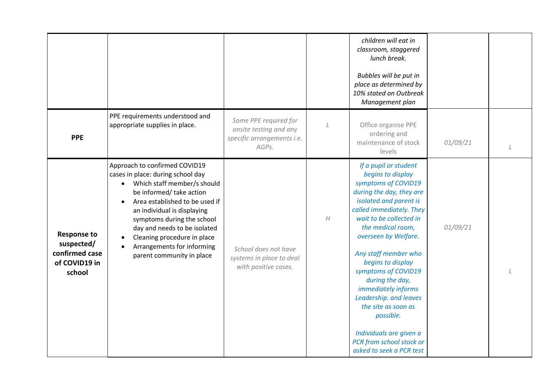<span id="page-13-1"></span><span id="page-13-0"></span>

|                                                                               |                                                                                                                                                                                                                                                                                                                                                        |                                                                                        |                  | children will eat in<br>classroom, staggered<br>lunch break.<br>Bubbles will be put in<br>place as determined by<br>10% stated on Outbreak<br>Management plan                                                                                                                                                                                                                                                                                                                              |          |  |
|-------------------------------------------------------------------------------|--------------------------------------------------------------------------------------------------------------------------------------------------------------------------------------------------------------------------------------------------------------------------------------------------------------------------------------------------------|----------------------------------------------------------------------------------------|------------------|--------------------------------------------------------------------------------------------------------------------------------------------------------------------------------------------------------------------------------------------------------------------------------------------------------------------------------------------------------------------------------------------------------------------------------------------------------------------------------------------|----------|--|
| <b>PPE</b>                                                                    | PPE requirements understood and<br>appropriate supplies in place.                                                                                                                                                                                                                                                                                      | Some PPE required for<br>onsite testing and any<br>specific arrangements i.e.<br>AGPs. |                  | Office organise PPE<br>ordering and<br>maintenance of stock<br>levels                                                                                                                                                                                                                                                                                                                                                                                                                      | 01/09/21 |  |
| <b>Response to</b><br>suspected/<br>confirmed case<br>of COVID19 in<br>school | Approach to confirmed COVID19<br>cases in place: during school day<br>Which staff member/s should<br>be informed/ take action<br>Area established to be used if<br>an individual is displaying<br>symptoms during the school<br>day and needs to be isolated<br>Cleaning procedure in place<br>Arrangements for informing<br>parent community in place | School does not have<br>systems in place to deal<br>with positive cases.               | $\boldsymbol{H}$ | If a pupil or student<br>begins to display<br>symptoms of COVID19<br>during the day, they are<br>isolated and parent is<br>called immediately. They<br>wait to be collected in<br>the medical room,<br>overseen by Welfare.<br>Any staff member who<br>begins to display<br>symptoms of COVID19<br>during the day,<br>immediately informs<br>Leadership. and leaves<br>the site as soon as<br>possible.<br>Individuals are given a<br>PCR from school stock or<br>asked to seek a PCR test | 01/09/21 |  |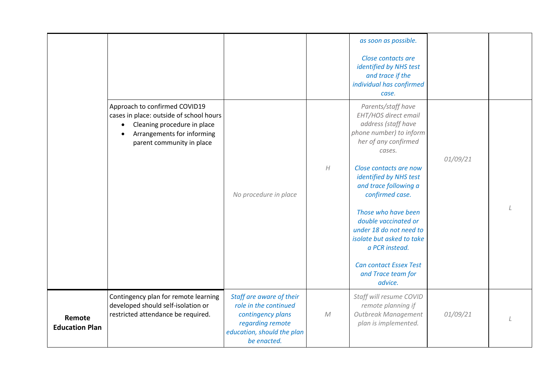<span id="page-14-0"></span>

|                                 |                                                                                                                                                                                 |                                                                                                                                         |                  | as soon as possible.<br>Close contacts are<br>identified by NHS test<br>and trace if the<br>individual has confirmed<br>case.                                                                                                                                                                                                                                                                                      |          |  |
|---------------------------------|---------------------------------------------------------------------------------------------------------------------------------------------------------------------------------|-----------------------------------------------------------------------------------------------------------------------------------------|------------------|--------------------------------------------------------------------------------------------------------------------------------------------------------------------------------------------------------------------------------------------------------------------------------------------------------------------------------------------------------------------------------------------------------------------|----------|--|
|                                 | Approach to confirmed COVID19<br>cases in place: outside of school hours<br>Cleaning procedure in place<br>$\bullet$<br>Arrangements for informing<br>parent community in place | No procedure in place                                                                                                                   | $\boldsymbol{H}$ | Parents/staff have<br>EHT/HOS direct email<br>address (staff have<br>phone number) to inform<br>her of any confirmed<br>cases.<br>Close contacts are now<br>identified by NHS test<br>and trace following a<br>confirmed case.<br>Those who have been<br>double vaccinated or<br>under 18 do not need to<br>isolate but asked to take<br>a PCR instead.<br>Can contact Essex Test<br>and Trace team for<br>advice. | 01/09/21 |  |
| Remote<br><b>Education Plan</b> | Contingency plan for remote learning<br>developed should self-isolation or<br>restricted attendance be required.                                                                | Staff are aware of their<br>role in the continued<br>contingency plans<br>regarding remote<br>education, should the plan<br>be enacted. | ${\cal M}$       | Staff will resume COVID<br>remote planning if<br>Outbreak Management<br>plan is implemented.                                                                                                                                                                                                                                                                                                                       | 01/09/21 |  |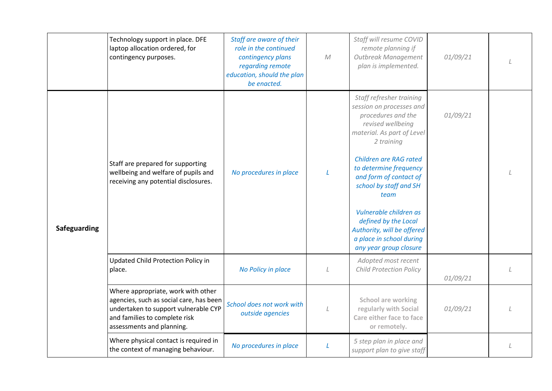<span id="page-15-0"></span>

|              | Technology support in place. DFE<br>laptop allocation ordered, for<br>contingency purposes.                                                                                         | Staff are aware of their<br>role in the continued<br>contingency plans<br>regarding remote<br>education, should the plan<br>be enacted. | ${\cal M}$   | Staff will resume COVID<br>remote planning if<br>Outbreak Management<br>plan is implemented.                                                                                                                                                                                                                                                                                                             | 01/09/21 |  |
|--------------|-------------------------------------------------------------------------------------------------------------------------------------------------------------------------------------|-----------------------------------------------------------------------------------------------------------------------------------------|--------------|----------------------------------------------------------------------------------------------------------------------------------------------------------------------------------------------------------------------------------------------------------------------------------------------------------------------------------------------------------------------------------------------------------|----------|--|
| Safeguarding | Staff are prepared for supporting<br>wellbeing and welfare of pupils and<br>receiving any potential disclosures.                                                                    | No procedures in place                                                                                                                  | $\mathbf{L}$ | Staff refresher training<br>session on processes and<br>procedures and the<br>revised wellbeing<br>material. As part of Level<br>2 training<br><b>Children are RAG rated</b><br>to determine frequency<br>and form of contact of<br>school by staff and SH<br>team<br>Vulnerable children as<br>defined by the Local<br>Authority, will be offered<br>a place in school during<br>any year group closure | 01/09/21 |  |
|              | Updated Child Protection Policy in<br>place.                                                                                                                                        | No Policy in place                                                                                                                      | L            | Adopted most recent<br>Child Protection Policy                                                                                                                                                                                                                                                                                                                                                           | 01/09/21 |  |
|              | Where appropriate, work with other<br>agencies, such as social care, has been<br>undertaken to support vulnerable CYP<br>and families to complete risk<br>assessments and planning. | School does not work with<br>outside agencies                                                                                           |              | <b>School are working</b><br>regularly with Social<br>Care either face to face<br>or remotely.                                                                                                                                                                                                                                                                                                           | 01/09/21 |  |
|              | Where physical contact is required in<br>the context of managing behaviour.                                                                                                         | No procedures in place                                                                                                                  | L            | 5 step plan in place and<br>support plan to give staff                                                                                                                                                                                                                                                                                                                                                   |          |  |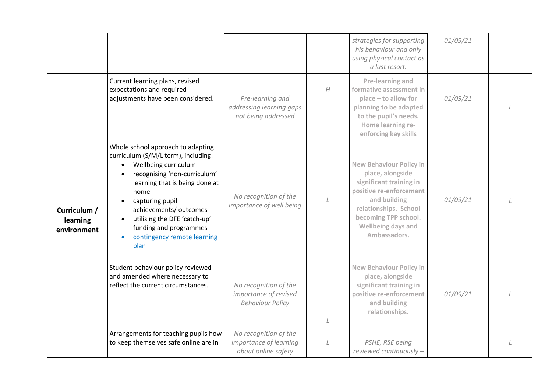<span id="page-16-0"></span>

|                                         |                                                                                                                                                                                                                                                                                                                                       |                                                                           |                  | strategies for supporting<br>his behaviour and only<br>using physical contact as<br>a last resort.                                                                                                              | 01/09/21 |  |
|-----------------------------------------|---------------------------------------------------------------------------------------------------------------------------------------------------------------------------------------------------------------------------------------------------------------------------------------------------------------------------------------|---------------------------------------------------------------------------|------------------|-----------------------------------------------------------------------------------------------------------------------------------------------------------------------------------------------------------------|----------|--|
| Curriculum /<br>learning<br>environment | Current learning plans, revised<br>expectations and required<br>adjustments have been considered.                                                                                                                                                                                                                                     | Pre-learning and<br>addressing learning gaps<br>not being addressed       | $\boldsymbol{H}$ | Pre-learning and<br>formative assessment in<br>place - to allow for<br>planning to be adapted<br>to the pupil's needs.<br>Home learning re-<br>enforcing key skills                                             | 01/09/21 |  |
|                                         | Whole school approach to adapting<br>curriculum (S/M/L term), including:<br>Wellbeing curriculum<br>$\bullet$<br>recognising 'non-curriculum'<br>learning that is being done at<br>home<br>capturing pupil<br>achievements/ outcomes<br>utilising the DFE 'catch-up'<br>funding and programmes<br>contingency remote learning<br>plan | No recognition of the<br>importance of well being                         |                  | <b>New Behaviour Policy in</b><br>place, alongside<br>significant training in<br>positive re-enforcement<br>and building<br>relationships. School<br>becoming TPP school.<br>Wellbeing days and<br>Ambassadors. | 01/09/21 |  |
|                                         | Student behaviour policy reviewed<br>and amended where necessary to<br>reflect the current circumstances.                                                                                                                                                                                                                             | No recognition of the<br>importance of revised<br><b>Behaviour Policy</b> | L                | <b>New Behaviour Policy in</b><br>place, alongside<br>significant training in<br>positive re-enforcement<br>and building<br>relationships.                                                                      | 01/09/21 |  |
|                                         | Arrangements for teaching pupils how<br>to keep themselves safe online are in                                                                                                                                                                                                                                                         | No recognition of the<br>importance of learning<br>about online safety    | L                | PSHE, RSE being<br>reviewed continuously -                                                                                                                                                                      |          |  |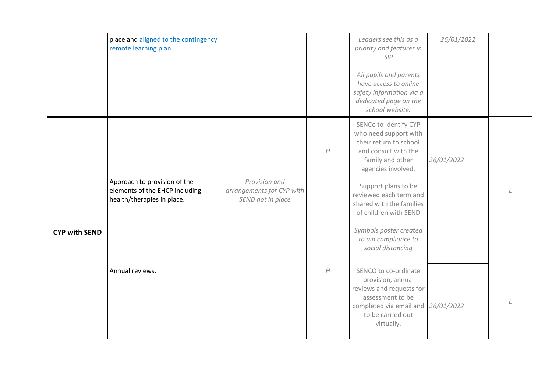|                      | place and aligned to the contingency<br>remote learning plan.                                |                                                                 |                  | Leaders see this as a<br>priority and features in<br>SIP<br>All pupils and parents<br>have access to online<br>safety information via a<br>dedicated page on the<br>school website.                                                                                                                                     | 26/01/2022 |  |
|----------------------|----------------------------------------------------------------------------------------------|-----------------------------------------------------------------|------------------|-------------------------------------------------------------------------------------------------------------------------------------------------------------------------------------------------------------------------------------------------------------------------------------------------------------------------|------------|--|
| <b>CYP with SEND</b> | Approach to provision of the<br>elements of the EHCP including<br>health/therapies in place. | Provision and<br>arrangements for CYP with<br>SEND not in place | $\boldsymbol{H}$ | SENCo to identify CYP<br>who need support with<br>their return to school<br>and consult with the<br>family and other<br>agencies involved.<br>Support plans to be<br>reviewed each term and<br>shared with the families<br>of children with SEND<br>Symbols poster created<br>to aid compliance to<br>social distancing | 26/01/2022 |  |
|                      | Annual reviews.                                                                              |                                                                 | $\boldsymbol{H}$ | SENCO to co-ordinate<br>provision, annual<br>reviews and requests for<br>assessment to be<br>completed via email and<br>to be carried out<br>virtually.                                                                                                                                                                 | 26/01/2022 |  |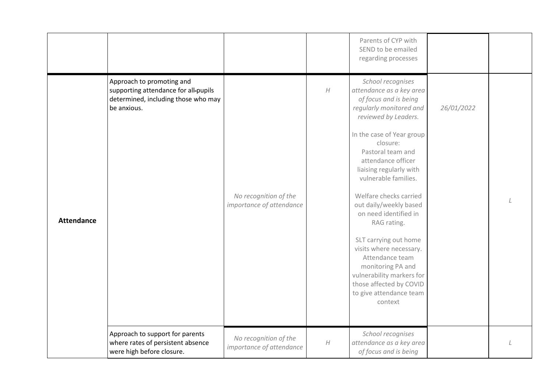<span id="page-18-0"></span>

|                   |                                                                                                                         |                                                   |                  | Parents of CYP with<br>SEND to be emailed<br>regarding processes                                                                                                                                                                                                                                                                                                                                                                                                                                                                                       |            |  |
|-------------------|-------------------------------------------------------------------------------------------------------------------------|---------------------------------------------------|------------------|--------------------------------------------------------------------------------------------------------------------------------------------------------------------------------------------------------------------------------------------------------------------------------------------------------------------------------------------------------------------------------------------------------------------------------------------------------------------------------------------------------------------------------------------------------|------------|--|
| <b>Attendance</b> | Approach to promoting and<br>supporting attendance for all-pupils<br>determined, including those who may<br>be anxious. | No recognition of the<br>importance of attendance | $\boldsymbol{H}$ | School recognises<br>attendance as a key area<br>of focus and is being<br>regularly monitored and<br>reviewed by Leaders.<br>In the case of Year group<br>closure:<br>Pastoral team and<br>attendance officer<br>liaising regularly with<br>vulnerable families.<br>Welfare checks carried<br>out daily/weekly based<br>on need identified in<br>RAG rating.<br>SLT carrying out home<br>visits where necessary.<br>Attendance team<br>monitoring PA and<br>vulnerability markers for<br>those affected by COVID<br>to give attendance team<br>context | 26/01/2022 |  |
|                   | Approach to support for parents<br>where rates of persistent absence<br>were high before closure.                       | No recognition of the<br>importance of attendance | $\boldsymbol{H}$ | School recognises<br>attendance as a key area<br>of focus and is being                                                                                                                                                                                                                                                                                                                                                                                                                                                                                 |            |  |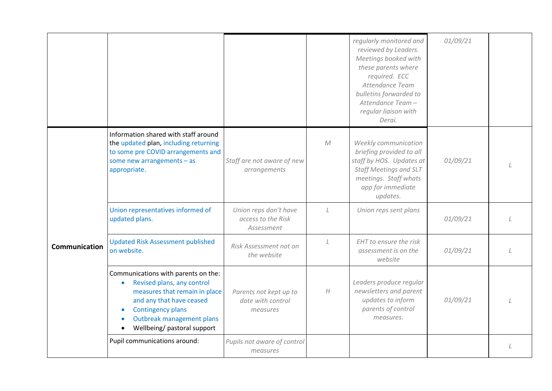<span id="page-19-0"></span>

|                      |                                                                                                                                                                                                                        |                                                           |                  | regularly monitored and<br>reviewed by Leaders.<br>Meetings booked with<br>these parents where<br>required. ECC<br>Attendance Team<br>bulletins forwarded to<br>Attendance Team-<br>regular liaison with<br>Derai. | 01/09/21 |  |
|----------------------|------------------------------------------------------------------------------------------------------------------------------------------------------------------------------------------------------------------------|-----------------------------------------------------------|------------------|--------------------------------------------------------------------------------------------------------------------------------------------------------------------------------------------------------------------|----------|--|
|                      | Information shared with staff around<br>the updated plan, including returning<br>to some pre COVID arrangements and<br>some new arrangements $-$ as<br>appropriate.                                                    | Staff are not aware of new<br>arrangements                | ${\cal M}$       | Weekly communication<br>briefing provided to all<br>staff by HOS. Updates at<br><b>Staff Meetings and SLT</b><br>meetings. Staff whats<br>app for immediate<br>updates.                                            | 01/09/21 |  |
|                      | Union representatives informed of<br>updated plans.                                                                                                                                                                    | Union reps don't have<br>access to the Risk<br>Assessment | L                | Union reps sent plans                                                                                                                                                                                              | 01/09/21 |  |
| <b>Communication</b> | <b>Updated Risk Assessment published</b><br>on website.                                                                                                                                                                | Risk Assessment not on<br>the website                     | $\overline{1}$   | EHT to ensure the risk<br>assessment is on the<br>website                                                                                                                                                          | 01/09/21 |  |
|                      | Communications with parents on the:<br>Revised plans, any control<br>measures that remain in place<br>and any that have ceased<br><b>Contingency plans</b><br>Outbreak management plans<br>Wellbeing/ pastoral support | Parents not kept up to<br>date with control<br>measures   | $\boldsymbol{H}$ | Leaders produce regular<br>newsletters and parent<br>updates to inform<br>parents of control<br>measures.                                                                                                          | 01/09/21 |  |
|                      | Pupil communications around:                                                                                                                                                                                           | Pupils not aware of control<br>measures                   |                  |                                                                                                                                                                                                                    |          |  |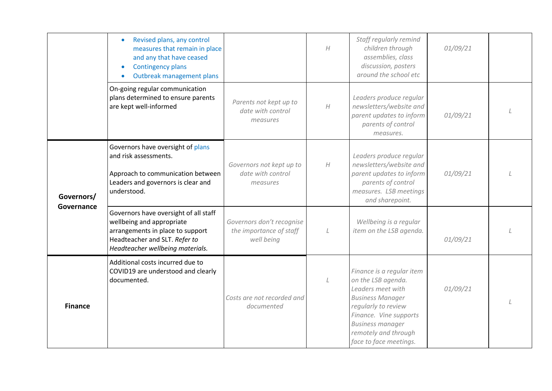<span id="page-20-1"></span><span id="page-20-0"></span>

|                          | Revised plans, any control<br>measures that remain in place<br>and any that have ceased<br><b>Contingency plans</b><br>٠<br>Outbreak management plans                       |                                                                    | H                | Staff regularly remind<br>children through<br>assemblies, class<br>discussion, posters<br>around the school etc                                                                                                               | 01/09/21 |  |
|--------------------------|-----------------------------------------------------------------------------------------------------------------------------------------------------------------------------|--------------------------------------------------------------------|------------------|-------------------------------------------------------------------------------------------------------------------------------------------------------------------------------------------------------------------------------|----------|--|
|                          | On-going regular communication<br>plans determined to ensure parents<br>are kept well-informed                                                                              | Parents not kept up to<br>date with control<br>measures            | H                | Leaders produce regular<br>newsletters/website and<br>parent updates to inform<br>parents of control<br>measures.                                                                                                             | 01/09/21 |  |
| Governors/<br>Governance | Governors have oversight of plans<br>and risk assessments.<br>Approach to communication between<br>Leaders and governors is clear and<br>understood.                        | Governors not kept up to<br>date with control<br>measures          | $\boldsymbol{H}$ | Leaders produce regular<br>newsletters/website and<br>parent updates to inform<br>parents of control<br>measures. LSB meetings<br>and sharepoint.                                                                             | 01/09/21 |  |
|                          | Governors have oversight of all staff<br>wellbeing and appropriate<br>arrangements in place to support<br>Headteacher and SLT. Refer to<br>Headteacher wellbeing materials. | Governors don't recognise<br>the importance of staff<br>well being |                  | Wellbeing is a regular<br>item on the LSB agenda.                                                                                                                                                                             | 01/09/21 |  |
| <b>Finance</b>           | Additional costs incurred due to<br>COVID19 are understood and clearly<br>documented.                                                                                       | Costs are not recorded and<br>documented                           | L                | Finance is a regular item<br>on the LSB agenda.<br>Leaders meet with<br><b>Business Manager</b><br>regularly to review<br>Finance. Vine supports<br><b>Business manager</b><br>remotely and through<br>face to face meetings. | 01/09/21 |  |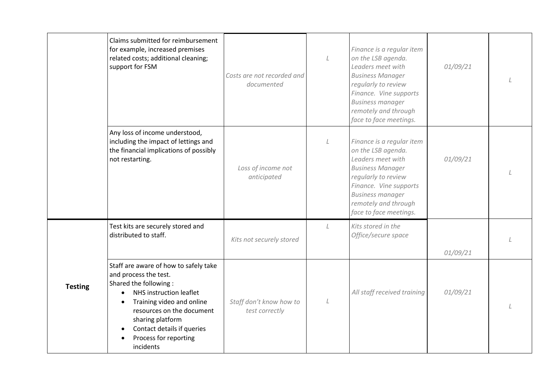|                | Claims submitted for reimbursement<br>for example, increased premises<br>related costs; additional cleaning;<br>support for FSM                                                                                                                                      | Costs are not recorded and<br>documented  | L       | Finance is a regular item<br>on the LSB agenda.<br>Leaders meet with<br><b>Business Manager</b><br>regularly to review<br>Finance. Vine supports<br><b>Business manager</b><br>remotely and through<br>face to face meetings. | 01/09/21 |  |
|----------------|----------------------------------------------------------------------------------------------------------------------------------------------------------------------------------------------------------------------------------------------------------------------|-------------------------------------------|---------|-------------------------------------------------------------------------------------------------------------------------------------------------------------------------------------------------------------------------------|----------|--|
|                | Any loss of income understood,<br>including the impact of lettings and<br>the financial implications of possibly<br>not restarting.                                                                                                                                  | Loss of income not<br>anticipated         | L       | Finance is a regular item<br>on the LSB agenda.<br>Leaders meet with<br><b>Business Manager</b><br>regularly to review<br>Finance. Vine supports<br><b>Business manager</b><br>remotely and through<br>face to face meetings. | 01/09/21 |  |
|                | Test kits are securely stored and<br>distributed to staff.                                                                                                                                                                                                           | Kits not securely stored                  | $\perp$ | Kits stored in the<br>Office/secure space                                                                                                                                                                                     | 01/09/21 |  |
| <b>Testing</b> | Staff are aware of how to safely take<br>and process the test.<br>Shared the following:<br>NHS instruction leaflet<br>Training video and online<br>resources on the document<br>sharing platform<br>Contact details if queries<br>Process for reporting<br>incidents | Staff don't know how to<br>test correctly | L       | All staff received training                                                                                                                                                                                                   | 01/09/21 |  |